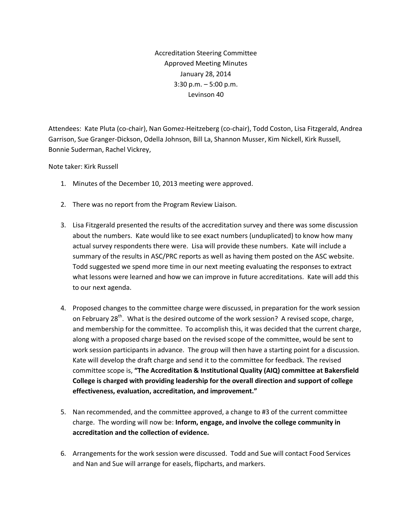Accreditation Steering Committee Approved Meeting Minutes January 28, 2014 3:30 p.m. – 5:00 p.m. Levinson 40

Attendees: Kate Pluta (co-chair), Nan Gomez-Heitzeberg (co-chair), Todd Coston, Lisa Fitzgerald, Andrea Garrison, Sue Granger-Dickson, Odella Johnson, Bill La, Shannon Musser, Kim Nickell, Kirk Russell, Bonnie Suderman, Rachel Vickrey,

## Note taker: Kirk Russell

- 1. Minutes of the December 10, 2013 meeting were approved.
- 2. There was no report from the Program Review Liaison.
- 3. Lisa Fitzgerald presented the results of the accreditation survey and there was some discussion about the numbers. Kate would like to see exact numbers (unduplicated) to know how many actual survey respondents there were. Lisa will provide these numbers. Kate will include a summary of the results in ASC/PRC reports as well as having them posted on the ASC website. Todd suggested we spend more time in our next meeting evaluating the responses to extract what lessons were learned and how we can improve in future accreditations. Kate will add this to our next agenda.
- 4. Proposed changes to the committee charge were discussed, in preparation for the work session on February 28<sup>th</sup>. What is the desired outcome of the work session? A revised scope, charge, and membership for the committee. To accomplish this, it was decided that the current charge, along with a proposed charge based on the revised scope of the committee, would be sent to work session participants in advance. The group will then have a starting point for a discussion. Kate will develop the draft charge and send it to the committee for feedback. The revised committee scope is, **"The Accreditation & Institutional Quality (AIQ) committee at Bakersfield College is charged with providing leadership for the overall direction and support of college effectiveness, evaluation, accreditation, and improvement."**
- 5. Nan recommended, and the committee approved, a change to #3 of the current committee charge. The wording will now be: **Inform, engage, and involve the college community in accreditation and the collection of evidence.**
- 6. Arrangements for the work session were discussed. Todd and Sue will contact Food Services and Nan and Sue will arrange for easels, flipcharts, and markers.